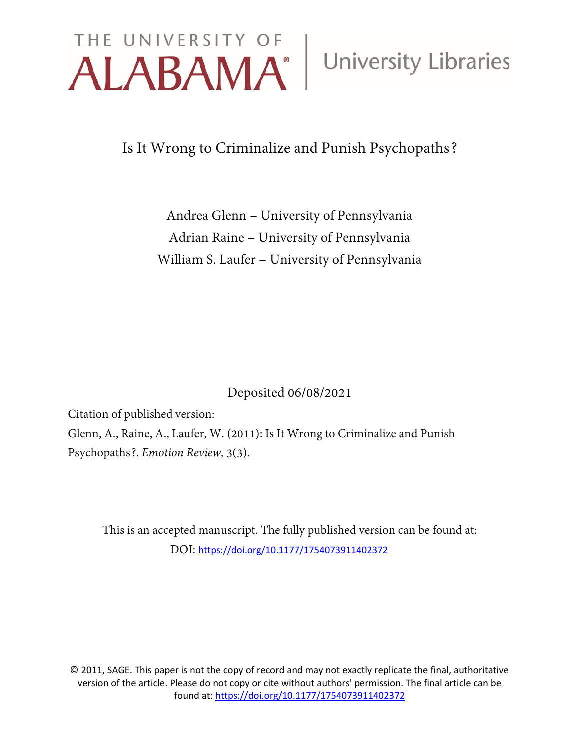# THE UNIVERSITY OF University Libraries

Is It Wrong to Criminalize and Punish Psychopaths?

Andrea Glenn – University of Pennsylvania Adrian Raine – University of Pennsylvania William S. Laufer – University of Pennsylvania

Deposited 06/08/2021

Citation of published version:

Glenn, A., Raine, A., Laufer, W. (2011): Is It Wrong to Criminalize and Punish Psychopaths?. *Emotion Review,* 3(3)*.*

This is an accepted manuscript. The fully published version can be found at: DOI: [https://doi.org/10.1177/1754073911402372](https://doi.org/10.1177%2F1754073911402372)

© 2011, SAGE. This paper is not the copy of record and may not exactly replicate the final, authoritative version of the article. Please do not copy or cite without authors' permission. The final article can be found at[: https://doi.org/10.1177/1754073911402372](https://doi.org/10.1177%2F1754073911402372)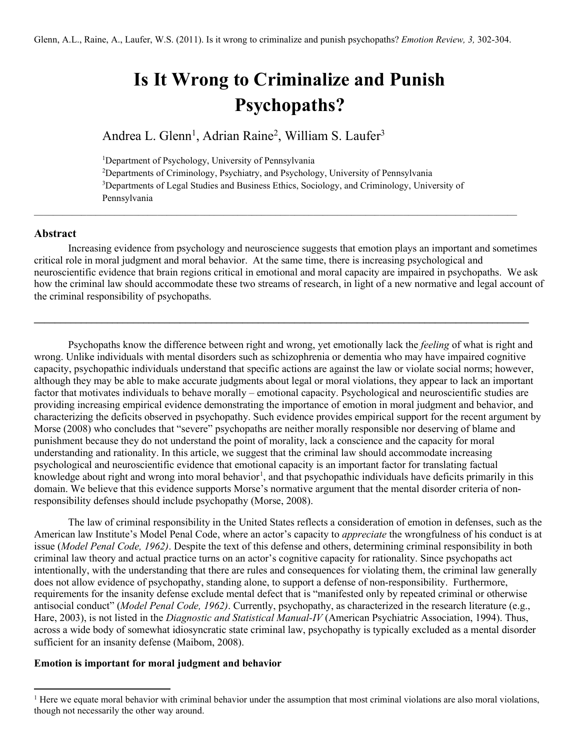## **Is It Wrong to Criminalize and Punish Psychopaths?**

Andrea L. Glenn<sup>1</sup>, Adrian Raine<sup>2</sup>, William S. Laufer<sup>3</sup>

<sup>1</sup>Department of Psychology, University of Pennsylvania

2 Departments of Criminology, Psychiatry, and Psychology, University of Pennsylvania <sup>3</sup>Departments of Legal Studies and Business Ethics, Sociology, and Criminology, University of Pennsylvania

 $\mathcal{L}_\mathcal{L} = \mathcal{L}_\mathcal{L} = \mathcal{L}_\mathcal{L} = \mathcal{L}_\mathcal{L} = \mathcal{L}_\mathcal{L} = \mathcal{L}_\mathcal{L} = \mathcal{L}_\mathcal{L} = \mathcal{L}_\mathcal{L} = \mathcal{L}_\mathcal{L} = \mathcal{L}_\mathcal{L} = \mathcal{L}_\mathcal{L} = \mathcal{L}_\mathcal{L} = \mathcal{L}_\mathcal{L} = \mathcal{L}_\mathcal{L} = \mathcal{L}_\mathcal{L} = \mathcal{L}_\mathcal{L} = \mathcal{L}_\mathcal{L}$ 

### **Abstract**

Increasing evidence from psychology and neuroscience suggests that emotion plays an important and sometimes critical role in moral judgment and moral behavior. At the same time, there is increasing psychological and neuroscientific evidence that brain regions critical in emotional and moral capacity are impaired in psychopaths. We ask how the criminal law should accommodate these two streams of research, in light of a new normative and legal account of the criminal responsibility of psychopaths.

**\_\_\_\_\_\_\_\_\_\_\_\_\_\_\_\_\_\_\_\_\_\_\_\_\_\_\_\_\_\_\_\_\_\_\_\_\_\_\_\_\_\_\_\_\_\_\_\_\_\_\_\_\_\_\_\_\_\_\_\_\_\_\_\_\_\_\_\_\_\_\_\_\_\_\_\_\_\_\_\_\_\_\_\_\_\_\_\_\_\_\_\_\_\_\_** 

Psychopaths know the difference between right and wrong, yet emotionally lack the *feeling* of what is right and wrong. Unlike individuals with mental disorders such as schizophrenia or dementia who may have impaired cognitive capacity, psychopathic individuals understand that specific actions are against the law or violate social norms; however, although they may be able to make accurate judgments about legal or moral violations, they appear to lack an important factor that motivates individuals to behave morally – emotional capacity. Psychological and neuroscientific studies are providing increasing empirical evidence demonstrating the importance of emotion in moral judgment and behavior, and characterizing the deficits observed in psychopathy. Such evidence provides empirical support for the recent argument by Morse (2008) who concludes that "severe" psychopaths are neither morally responsible nor deserving of blame and punishment because they do not understand the point of morality, lack a conscience and the capacity for moral understanding and rationality. In this article, we suggest that the criminal law should accommodate increasing psychological and neuroscientific evidence that emotional capacity is an important factor for translating factual knowledge about right and wrong into moral behavior<sup>1</sup>, and that psychopathic individuals have deficits primarily in this domain. We believe that this evidence supports Morse's normative argument that the mental disorder criteria of nonresponsibility defenses should include psychopathy (Morse, 2008).

The law of criminal responsibility in the United States reflects a consideration of emotion in defenses, such as the American law Institute's Model Penal Code, where an actor's capacity to *appreciate* the wrongfulness of his conduct is at issue (*Model Penal Code, 1962)*. Despite the text of this defense and others, determining criminal responsibility in both criminal law theory and actual practice turns on an actor's cognitive capacity for rationality. Since psychopaths act intentionally, with the understanding that there are rules and consequences for violating them, the criminal law generally does not allow evidence of psychopathy, standing alone, to support a defense of non-responsibility. Furthermore, requirements for the insanity defense exclude mental defect that is "manifested only by repeated criminal or otherwise antisocial conduct" (*Model Penal Code, 1962)*. Currently, psychopathy, as characterized in the research literature (e.g., Hare, 2003), is not listed in the *Diagnostic and Statistical Manual-IV* (American Psychiatric Association, 1994). Thus, across a wide body of somewhat idiosyncratic state criminal law, psychopathy is typically excluded as a mental disorder sufficient for an insanity defense (Maibom, 2008).

#### **Emotion is important for moral judgment and behavior**

<span id="page-1-0"></span><sup>&</sup>lt;sup>1</sup> Here we equate moral behavior with criminal behavior under the assumption that most criminal violations are also moral violations, though not necessarily the other way around.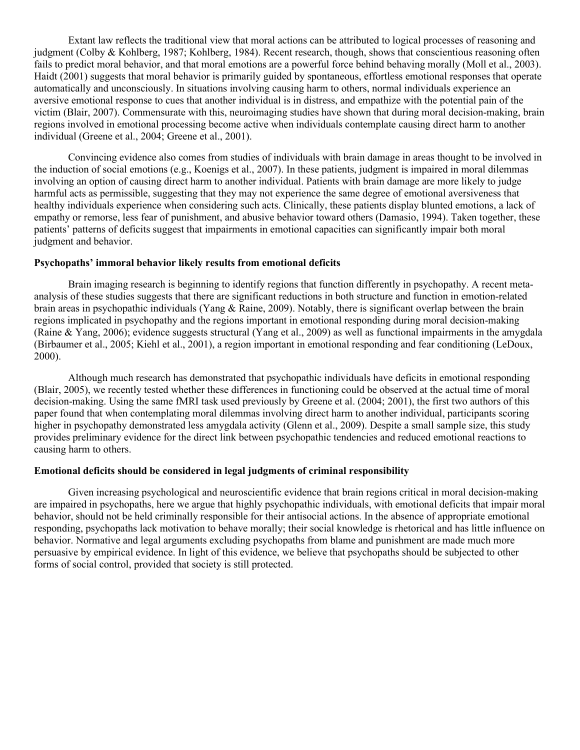Extant law reflects the traditional view that moral actions can be attributed to logical processes of reasoning and judgment (Colby & Kohlberg, 1987; Kohlberg, 1984). Recent research, though, shows that conscientious reasoning often fails to predict moral behavior, and that moral emotions are a powerful force behind behaving morally (Moll et al., 2003). Haidt (2001) suggests that moral behavior is primarily guided by spontaneous, effortless emotional responses that operate automatically and unconsciously. In situations involving causing harm to others, normal individuals experience an aversive emotional response to cues that another individual is in distress, and empathize with the potential pain of the victim (Blair, 2007). Commensurate with this, neuroimaging studies have shown that during moral decision-making, brain regions involved in emotional processing become active when individuals contemplate causing direct harm to another individual (Greene et al., 2004; Greene et al., 2001).

Convincing evidence also comes from studies of individuals with brain damage in areas thought to be involved in the induction of social emotions (e.g., Koenigs et al., 2007). In these patients, judgment is impaired in moral dilemmas involving an option of causing direct harm to another individual. Patients with brain damage are more likely to judge harmful acts as permissible, suggesting that they may not experience the same degree of emotional aversiveness that healthy individuals experience when considering such acts. Clinically, these patients display blunted emotions, a lack of empathy or remorse, less fear of punishment, and abusive behavior toward others (Damasio, 1994). Taken together, these patients' patterns of deficits suggest that impairments in emotional capacities can significantly impair both moral judgment and behavior.

#### **Psychopaths' immoral behavior likely results from emotional deficits**

Brain imaging research is beginning to identify regions that function differently in psychopathy. A recent metaanalysis of these studies suggests that there are significant reductions in both structure and function in emotion-related brain areas in psychopathic individuals (Yang & Raine, 2009). Notably, there is significant overlap between the brain regions implicated in psychopathy and the regions important in emotional responding during moral decision-making (Raine & Yang, 2006); evidence suggests structural (Yang et al., 2009) as well as functional impairments in the amygdala (Birbaumer et al., 2005; Kiehl et al., 2001), a region important in emotional responding and fear conditioning (LeDoux, 2000).

Although much research has demonstrated that psychopathic individuals have deficits in emotional responding (Blair, 2005), we recently tested whether these differences in functioning could be observed at the actual time of moral decision-making. Using the same fMRI task used previously by Greene et al. (2004; 2001), the first two authors of this paper found that when contemplating moral dilemmas involving direct harm to another individual, participants scoring higher in psychopathy demonstrated less amygdala activity (Glenn et al., 2009). Despite a small sample size, this study provides preliminary evidence for the direct link between psychopathic tendencies and reduced emotional reactions to causing harm to others.

#### **Emotional deficits should be considered in legal judgments of criminal responsibility**

Given increasing psychological and neuroscientific evidence that brain regions critical in moral decision-making are impaired in psychopaths, here we argue that highly psychopathic individuals, with emotional deficits that impair moral behavior, should not be held criminally responsible for their antisocial actions. In the absence of appropriate emotional responding, psychopaths lack motivation to behave morally; their social knowledge is rhetorical and has little influence on behavior. Normative and legal arguments excluding psychopaths from blame and punishment are made much more persuasive by empirical evidence. In light of this evidence, we believe that psychopaths should be subjected to other forms of social control, provided that society is still protected.